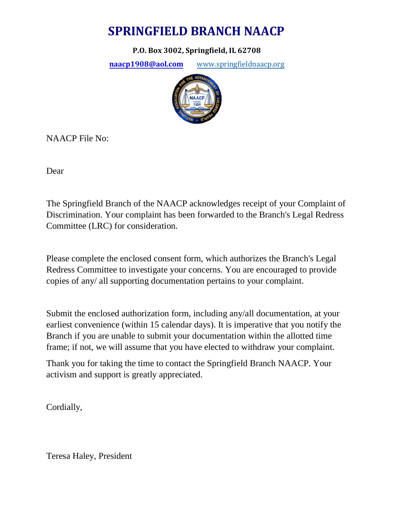# **SPRINGFIELD BRANCH NAACP**

**P.O. Box 3002, Springfield, IL 62708**

**[naacp1908@aol.com](mailto:naacp1908@aol.com)** [www.springfieldnaacp.org](http://www.springfieldnaacp.org/)



NAACP File No:

Dear

The Springfield Branch of the NAACP acknowledges receipt of your Complaint of Discrimination. Your complaint has been forwarded to the Branch's Legal Redress Committee (LRC) for consideration.

Please complete the enclosed consent form, which authorizes the Branch's Legal Redress Committee to investigate your concerns. You are encouraged to provide copies of any/ all supporting documentation pertains to your complaint.

Submit the enclosed authorization form, including any/all documentation, at your earliest convenience (within 15 calendar days). It is imperative that you notify the Branch if you are unable to submit your documentation within the allotted time frame; if not, we will assume that you have elected to withdraw your complaint.

Thank you for taking the time to contact the Springfield Branch NAACP. Your activism and support is greatly appreciated.

Cordially,

Teresa Haley, President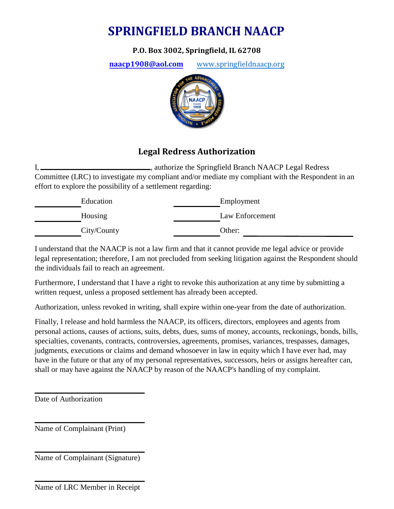# **SPRINGFIELD BRANCH NAACP**

**P.O. Box 3002, Springfield, IL 62708**

**[naacp1908@aol.com](mailto:naacp1908@aol.com)** [www.springfieldnaacp.org](http://www.springfieldnaacp.org/)



### **Legal Redress Authorization**

I, , authorize the Springfield Branch NAACP Legal Redress Committee (LRC) to investigate my compliant and/or mediate my compliant with the Respondent in an effort to explore the possibility of a settlement regarding:

| Education   | Employment      |
|-------------|-----------------|
| Housing     | Law Enforcement |
| City/County | Other:          |

I understand that the NAACP is not a law firm and that it cannot provide me legal advice or provide legal representation; therefore, I am not precluded from seeking litigation against the Respondent should the individuals fail to reach an agreement.

Furthermore, I understand that I have a right to revoke this authorization at any time by submitting a written request, unless a proposed settlement has already been accepted.

Authorization, unless revoked in writing, shall expire within one-year from the date of authorization.

Finally, I release and hold harmless the NAACP, its officers, directors, employees and agents from personal actions, causes of actions, suits, debts, dues, sums of money, accounts, reckonings, bonds, bills, specialties, covenants, contracts, controversies, agreements, promises, variances, trespasses, damages, judgments, executions or claims and demand whosoever in law in equity which I have ever had, may have in the future or that any of my personal representatives, successors, heirs or assigns hereafter can, shall or may have against the NAACP by reason of the NAACP's handling of my complaint.

Date of Authorization

Name of Complainant (Print)

Name of Complainant (Signature)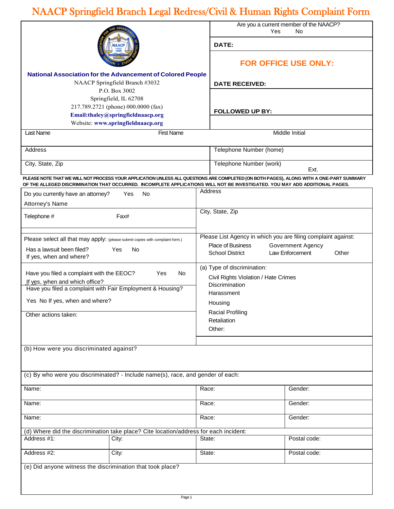# NAACP Springfield Branch Legal Redress/Civil & Human Rights Complaint Form

|                                                                               |                                                                                                                              |                                      | Yes                                    | Are you a current member of the NAACP?<br>No.                                                                                           |  |
|-------------------------------------------------------------------------------|------------------------------------------------------------------------------------------------------------------------------|--------------------------------------|----------------------------------------|-----------------------------------------------------------------------------------------------------------------------------------------|--|
| <b>NAACI</b><br>1909                                                          |                                                                                                                              |                                      | DATE:                                  |                                                                                                                                         |  |
|                                                                               |                                                                                                                              |                                      | <b>FOR OFFICE USE ONLY:</b>            |                                                                                                                                         |  |
|                                                                               | <b>National Association for the Advancement of Colored People</b>                                                            |                                      |                                        |                                                                                                                                         |  |
|                                                                               | NAACP Springfield Branch #3032<br>P.O. Box 3002                                                                              |                                      | <b>DATE RECEIVED:</b>                  |                                                                                                                                         |  |
|                                                                               | Springfield, IL 62708                                                                                                        |                                      |                                        |                                                                                                                                         |  |
| 217.789.2721 (phone) 000.0000 (fax)                                           |                                                                                                                              |                                      | <b>FOLLOWED UP BY:</b>                 |                                                                                                                                         |  |
| Email:thaley@springfieldnaacp.org<br>Website: www.springfieldnaacp.org        |                                                                                                                              |                                      |                                        |                                                                                                                                         |  |
| <b>Last Name</b>                                                              | <b>First Name</b>                                                                                                            |                                      |                                        | <b>Middle Initial</b>                                                                                                                   |  |
|                                                                               |                                                                                                                              |                                      |                                        |                                                                                                                                         |  |
| Address                                                                       |                                                                                                                              |                                      | Telephone Number (home)                |                                                                                                                                         |  |
| City, State, Zip                                                              |                                                                                                                              |                                      | Telephone Number (work)<br>Ext.        |                                                                                                                                         |  |
|                                                                               | OF THE ALLEGED DISCRIMINATION THAT OCCURRED. INCOMPLETE APPLICATIONS WILL NOT BE INVESTIGATED. YOU MAY ADD ADDITIONAL PAGES. |                                      |                                        | PLEASE NOTE THAT WE WILL NOT PROCESS YOUR APPLICATION UNLESS ALL QUESTIONS ARE COMPLETED (ON BOTH PAGES), ALONG WITH A ONE-PART SUMMARY |  |
| Do you currently have an attorney?                                            | Yes<br>No                                                                                                                    | Address                              |                                        |                                                                                                                                         |  |
| Attorney's Name                                                               |                                                                                                                              |                                      |                                        |                                                                                                                                         |  |
| Telephone #                                                                   | Fax#                                                                                                                         |                                      | City, State, Zip                       |                                                                                                                                         |  |
|                                                                               |                                                                                                                              |                                      |                                        |                                                                                                                                         |  |
| Please select all that may apply: (please submit copies with complaint form.) |                                                                                                                              |                                      |                                        | Please List Agency in which you are filing complaint against:                                                                           |  |
| Has a lawsuit been filed?                                                     | Yes<br>No                                                                                                                    |                                      | Place of Business                      | <b>Government Agency</b>                                                                                                                |  |
| If yes, when and where?                                                       |                                                                                                                              |                                      | <b>School District</b>                 | Law Enforcement<br>Other                                                                                                                |  |
|                                                                               |                                                                                                                              |                                      | (a) Type of discrimination:            |                                                                                                                                         |  |
| Have you filed a complaint with the EEOC?<br>If yes, when and which office?   | Yes<br>No.                                                                                                                   | Civil Rights Violation / Hate Crimes |                                        |                                                                                                                                         |  |
| Have you filed a complaint with Fair Employment & Housing?                    |                                                                                                                              | Discrimination                       |                                        |                                                                                                                                         |  |
| Yes No If yes, when and where?                                                |                                                                                                                              |                                      | Harassment                             |                                                                                                                                         |  |
|                                                                               |                                                                                                                              |                                      | Housing                                |                                                                                                                                         |  |
| Other actions taken:                                                          |                                                                                                                              |                                      | <b>Racial Profiling</b><br>Retaliation |                                                                                                                                         |  |
|                                                                               |                                                                                                                              |                                      | Other:                                 |                                                                                                                                         |  |
|                                                                               |                                                                                                                              |                                      |                                        |                                                                                                                                         |  |
| (b) How were you discriminated against?                                       |                                                                                                                              |                                      |                                        |                                                                                                                                         |  |
|                                                                               |                                                                                                                              |                                      |                                        |                                                                                                                                         |  |
|                                                                               | (c) By who were you discriminated? - Include name(s), race, and gender of each:                                              |                                      |                                        |                                                                                                                                         |  |
|                                                                               |                                                                                                                              |                                      |                                        |                                                                                                                                         |  |
| Name:                                                                         |                                                                                                                              | Race:                                |                                        | Gender:                                                                                                                                 |  |
| Name:                                                                         |                                                                                                                              | Race:                                |                                        | Gender:                                                                                                                                 |  |
| Name:                                                                         |                                                                                                                              | Race:                                |                                        | Gender:                                                                                                                                 |  |
|                                                                               | (d) Where did the discrimination take place? Cite location/address for each incident:                                        |                                      |                                        |                                                                                                                                         |  |
| Address #1:                                                                   | City:                                                                                                                        | State:                               |                                        | Postal code:                                                                                                                            |  |
| Address #2:                                                                   | City:                                                                                                                        | State:                               |                                        | Postal code:                                                                                                                            |  |
| (e) Did anyone witness the discrimination that took place?                    |                                                                                                                              |                                      |                                        |                                                                                                                                         |  |
|                                                                               |                                                                                                                              |                                      |                                        |                                                                                                                                         |  |
|                                                                               |                                                                                                                              |                                      |                                        |                                                                                                                                         |  |